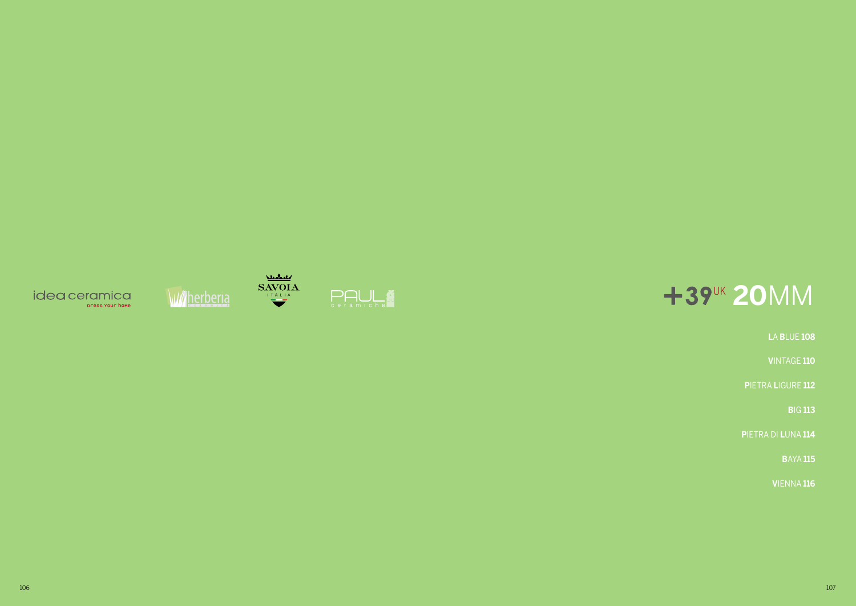





# +39<sup>UK</sup> 20MM

**LA BLUE 108** 

VINTAGE 110

PIETRA LIGURE 112

**BIG 113** 

PIETRA DI LUNA 114

**BAYA 115** 

VIENNA 116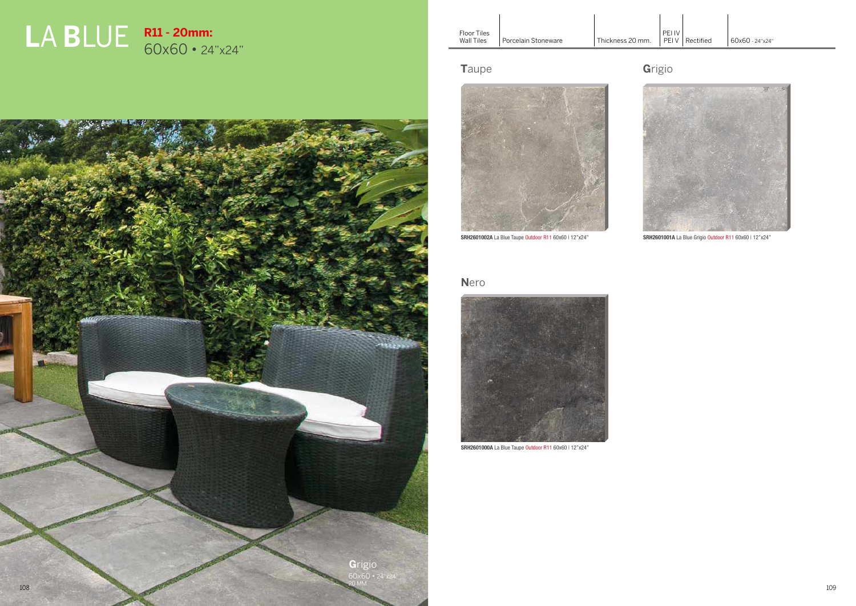



# **L**A **B**LUE **R11 - 20mm:** 60x60 • 24"x24"

### **T**aupe



SRH2601002A La Blue Taupe Outdoor R11 60x60 | 12"x24"

### **N**ero



SRH2601000A La Blue Taupe Outdoor R11 60x60 | 12"x24"

# **G**rigio



SRH2601001A La Blue Grigio Outdoor R11 60x60 | 12"x24"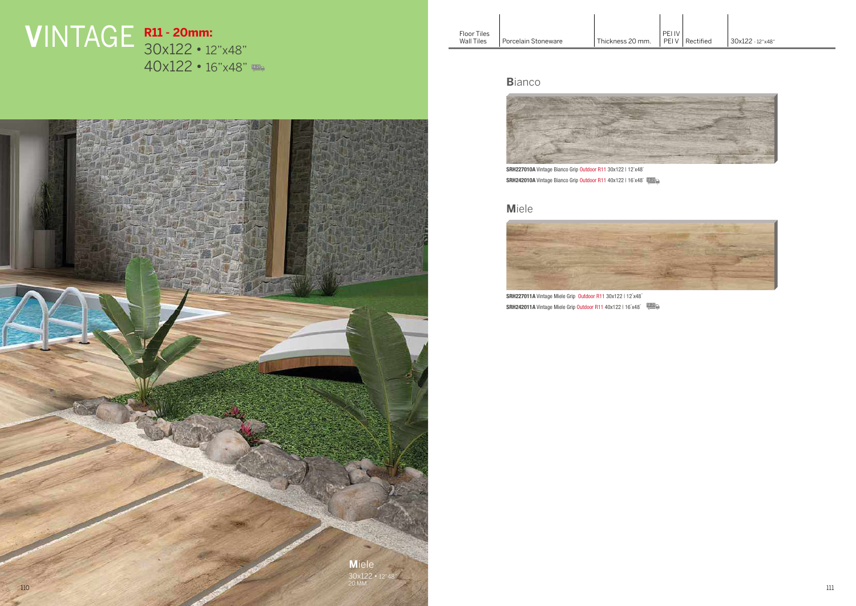Porcelain Stoneware | Thickness 20 mm.

# **V**INTAGE **R11 - 20mm:** 30x122 • 12"x48" 40x122 • 16"x48"

#### **B**ianco



SRH227010A Vintage Bianco Grip Outdoor R11 30x122 | 12"x48" SRH242010A Vintage Bianco Grip Outdoor R11 40x122 | 16"x48" [421

#### **M**iele



SRH227011A Vintage Miele Grip Outdoor R11 30x122 | 12"x48" SRH242011A Vintage Miele Grip Outdoor R11 40x122 | 16"x48"

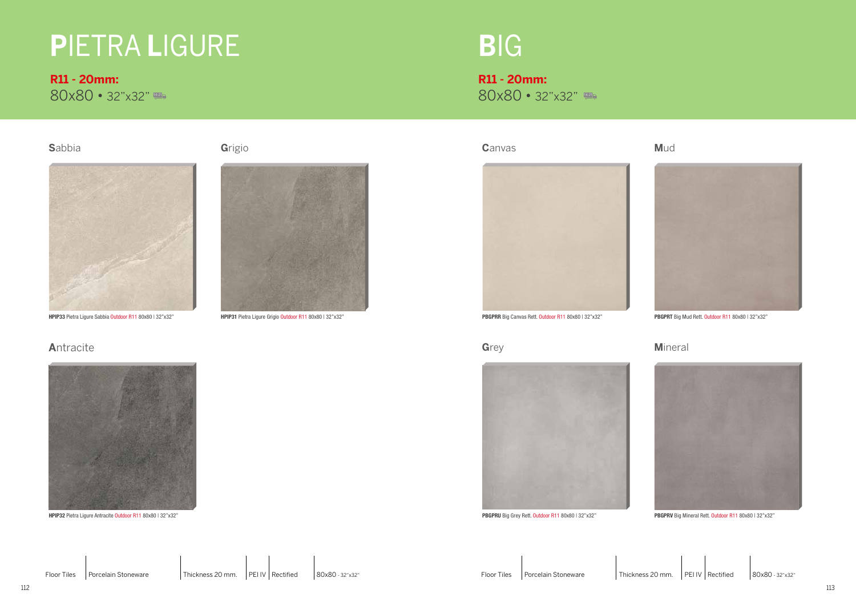# **P**IETRA **L**IGURE

**R11 - 20mm:** 80x80 • 32"x32" **R11 - 20mm:** 80x80 • 32"x32"

# **B**IG

**S**abbia



HPIP33 Pietra Ligure Sabbia Outdoor R11 80x80 | 32"x32"

# **A**ntracite



HPIP32 Pietra Ligure Antracite Outdoor R11 80x80 | 32"x32"

### **G**rigio



HPIP31 Pietra Ligure Grigio Outdoor R11 80x80 | 32"x32"

**C**anvas



PBGPRR Big Canvas Rett. Outdoor R11 80x80 | 32"x32"

**G**rey



PBGPRU Big Grey Rett. Outdoor R11 80x80 | 32"x32"

#### **M**ineral



PBGPRV Big Mineral Rett. Outdoor R11 80x80 | 32"x32"

#### **M**ud



PBGPRT Big Mud Rett. Outdoor R11 80x80 | 32"x32"